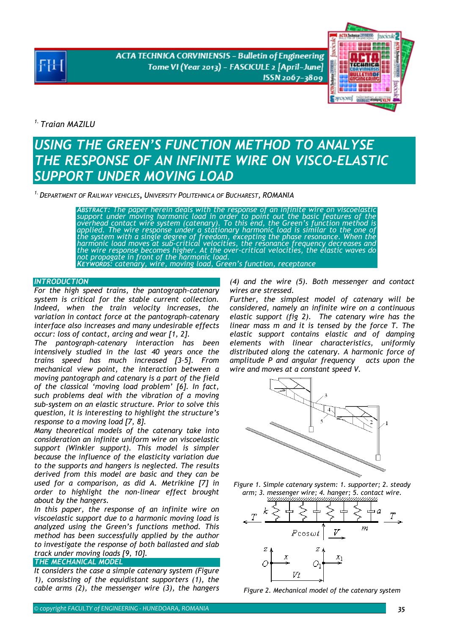**ACTA TECHNICA CORVINIENSIS - Bulletin of Engineering** Tome VI (Year 2013) - FASCICULE 2 [April-June] ISSN 2067-3809



*1. Traian MAZILU* 

# *USING THE GREEN'S FUNCTION METHOD TO ANALYSE THE RESPONSE OF AN INFINITE WIRE ON VISCO-ELASTIC SUPPORT UNDER MOVING LOAD*

*1.DEPARTMENT OF RAILWAY VEHICLES, UNIVERSITY POLITEHNICA OF BUCHAREST, ROMANIA* 

*ABSTRACT: The paper herein deals with the response of an infinite wire on viscoelastic support under moving harmonic load in order to point out the basic features of the*  overhead contact wire system (catenary). To this end, the Green's function method is<br>applied. The wire response under a stationary harmonic load is similar to the one of<br>the system with a single degree of freedom, exceptin *harmonic load moves at sub-critical velocities, the resonance frequency decreases and the wire response becomes higher. At the over-critical velocities, the elastic waves do not propagate in front of the harmonic load. KEYWORDS: catenary, wire, moving load, Green's function, receptance* 

## *INTRODUCTION*

*For the high speed trains, the pantograph-catenary system is critical for the stable current collection. Indeed, when the train velocity increases, the variation in contact force at the pantograph-catenary interface also increases and many undesirable effects occur: loss of contact, arcing and wear [1, 2].* 

*The pantograph-catenary interaction has been intensively studied in the last 40 years once the trains speed has much increased [3–5]. From mechanical view point, the interaction between a moving pantograph and catenary is a part of the field of the classical 'moving load problem' [6]. In fact, such problems deal with the vibration of a moving sub-system on an elastic structure. Prior to solve this question, it is interesting to highlight the structure's response to a moving load [7, 8].* 

*Many theoretical models of the catenary take into consideration an infinite uniform wire on viscoelastic support (Winkler support). This model is simpler because the influence of the elasticity variation due to the supports and hangers is neglected. The results derived from this model are basic and they can be used for a comparison, as did A. Metrikine [7] in order to highlight the non-linear effect brought about by the hangers.* 

*In this paper, the response of an infinite wire on viscoelastic support due to a harmonic moving load is analyzed using the Green's functions method. This method has been successfully applied by the author to investigate the response of both ballasted and slab track under moving loads [9, 10].* 

# *THE MECHANICAL MODEL*

*It considers the case a simple catenary system (Figure 1), consisting of the equidistant supporters (1), the cable arms (2), the messenger wire (3), the hangers* 

*(4) and the wire (5). Both messenger and contact wires are stressed.* 

*Further, the simplest model of catenary will be considered, namely an infinite wire on a continuous elastic support (fig 2). The catenary wire has the linear mass m and it is tensed by the force T. The elastic support contains elastic and of damping elements with linear characteristics, uniformly distributed along the catenary. A harmonic force of amplitude P and angular frequency acts upon the wire and moves at a constant speed V.* 



*Figure 1. Simple catenary system: 1. supporter; 2. steady arm; 3. messenger wire; 4. hanger; 5. contact wire.* 



*Figure 2. Mechanical model of the catenary system*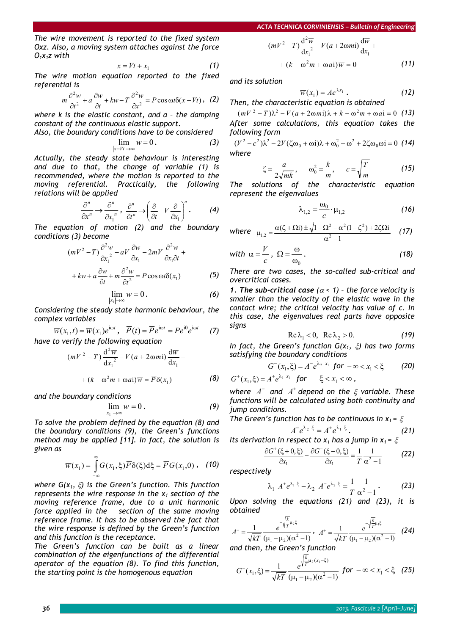*The wire movement is reported to the fixed system Oxz. Also, a moving system attaches against the force O1x1z with* 

$$
x = Vt + x_1 \tag{1}
$$

*The wire motion equation reported to the fixed referential is* 

$$
m\frac{\partial^2 w}{\partial t^2} + a\frac{\partial w}{\partial t} + kw - T\frac{\partial^2 w}{\partial x^2} = P\cos\omega t \delta(x - Vt) , \quad (2)
$$

*where k is the elastic constant, and a – the damping constant of the continuous elastic support.* 

*Also, the boundary conditions have to be considered*   $\lim_{x-Vt|\to\infty}w=0$ *. (3)* 

*Actually, the steady state behaviour is interesting and due to that, the change of variable (1) is recommended, where the motion is reported to the moving referential. Practically, the following relations will be applied* 

$$
\frac{\partial^n}{\partial x^n} \to \frac{\partial^n}{\partial x_1^n}, \quad \frac{\partial^n}{\partial t^n} \to \left(\frac{\partial}{\partial t} - V \frac{\partial}{\partial x_1}\right)^n. \tag{4}
$$

*The equation of motion (2) and the boundary conditions (3) become* 

$$
(mV^2 - T)\frac{\partial^2 w}{\partial x_1^2} - aV \frac{\partial w}{\partial x_1} - 2mV \frac{\partial^2 w}{\partial x_1 \partial t} +
$$
  
+ $kw + a \frac{\partial w}{\partial t} + m \frac{\partial^2 w}{\partial t^2} = P \cos \omega t \delta(x_1)$  (5)

$$
\frac{\partial t}{\partial t} \lim_{\substack{|x_1| \to \infty \\ |x_2| \to \infty}} w = 0. \tag{6}
$$

$$
\sum_{|x_1|\to\infty}^{x_1|\to\infty}
$$
 *Considering the steady state harmonic behaviour, the*

*complex variables* 

$$
\overline{w}(x_1, t) = \overline{w}(x_1)e^{i\omega t}, \quad \overline{P}(t) = \overline{P}e^{i\omega t} = Pe^{i0}e^{i\omega t}
$$
 (7)

*have to verify the following equation* 

$$
(mV2 - T) \frac{d2 \overline{w}}{dx_12} - V(a + 2\omega m i) \frac{d\overline{w}}{dx_1} +
$$
  
+ 
$$
(k - \omega2 m + \omega a i) \overline{w} = \overline{P} \delta(x_1)
$$
 (8)

*and the boundary conditions* 

$$
\lim_{|x_1|\to\infty}\overline{w}=0\,.
$$
 (9)

*To solve the problem defined by the equation (8) and the boundary conditions (9), the Green's functions method may be applied [11]. In fact, the solution is given as* 

$$
\overline{w}(x_1) = \int_{-\infty}^{\infty} G(x_1, \xi) \overline{P} \delta(\xi) d\xi = \overline{P} G(x_1, 0) , \quad (10)
$$

*where G(x1,* ξ*) is the Green's function. This function represents the wire response in the*  $x_1$  *section of the moving reference frame, due to a unit harmonic force applied in the section of the same moving reference frame. It has to be observed the fact that the wire response is defined by the Green's function and this function is the receptance.* 

*The Green's function can be built as a linear combination of the eigenfunctions of the differential operator of the equation (8). To find this function, the starting point is the homogenous equation* 

$$
(mV2 - T)\frac{d2\overline{w}}{dx12} - V(a + 2\omega mi)\frac{d\overline{w}}{dx1} + (k - \omega2m + \omega ai)\overline{w} = 0
$$
 (11)

*and its solution* 

$$
\overline{w}(x_1) = Ae^{\lambda x_1}.
$$
 (12)  
Then, the characteristic equation is obtained

 $(mV^2 - T)\lambda^2 - V(a + 2\omega m)\lambda + k - \omega^2 m + \omega a i = 0$  (13) *After some calculations, this equation takes the following form* 

 $(V^2 - c^2)\lambda^2 - 2V(\zeta\omega_0 + \omega i)\lambda + \omega_0^2 - \omega^2 + 2\zeta\omega_0\omega i = 0$  (14) *where* 

$$
\zeta = \frac{a}{2\sqrt{mk}}, \qquad \omega_0^2 = \frac{k}{m}, \qquad c = \sqrt{\frac{T}{m}} \tag{15}
$$

*The solutions of the characteristic equation represent the eigenvalues* 

$$
\lambda_{1,2} = \frac{\omega_0}{c} \cdot \mu_{1,2} \tag{16}
$$

where 
$$
\mu_{1,2} = \frac{\alpha(\zeta + \Omega i) \pm \sqrt{1 - \Omega^2 - \alpha^2 (1 - \zeta^2) + 2\zeta \Omega i}}{\alpha^2 - 1}
$$
 (17)

with 
$$
\alpha = \frac{V}{c}
$$
,  $\Omega = \frac{\omega}{\omega_0}$ . (18)

*There are two cases, the so-called sub-critical and overcritical cases.* 

**1. The sub-critical case**  $(a < 1)$  - the force velocity is *smaller than the velocity of the elastic wave in the contact wire; the critical velocity has value of c. In this case, the eigenvalues real parts have opposite signs* 

$$
\text{Re}\,\lambda_1 < 0, \quad \text{Re}\,\lambda_2 > 0. \tag{19}
$$

*In fact, the Green's function G(x1,* ξ*) has two forms satisfying the boundary conditions* 

$$
G^{-}(x_{1},\xi) = A^{-}e^{\lambda_{2} x_{1}} \text{ for } -\infty < x_{1} < \xi \qquad (20)
$$
  

$$
G^{+}(x_{1},\xi) = A^{+}e^{\lambda_{1} x_{1}} \text{ for } \xi < x_{1} < \infty,
$$

*where* <sup>−</sup> *A and* <sup>+</sup> *A depend on the* ξ *variable. These functions will be calculated using both continuity and jump conditions.* 

*The Green's function has to be continuous in x1 =* ξ

$$
A^-e^{\lambda_2\xi}=A^+e^{\lambda_1\xi}.
$$
 (21)

*Its derivation in respect to x<sub>1</sub> has a jump in x<sub>1</sub> =*  $\xi$ 

$$
\frac{\partial G^+(\xi+0,\xi)}{\partial x_1} - \frac{\partial G^-(\xi-0,\xi)}{\partial x_1} = \frac{1}{T} \frac{1}{\alpha^2 - 1}
$$
 (22)

*respectively* 

$$
\lambda_1 A^+ e^{\lambda_1 \xi} - \lambda_2 A^- e^{\lambda_2 \xi} = \frac{1}{T} \frac{1}{\alpha^2 - 1}.
$$
 (23)

*Upon solving the equations (21) and (23), it is obtained* 

$$
A^{-} = \frac{1}{\sqrt{kT}} \frac{e^{-\sqrt{\frac{k}{T}}\mu_{2}\xi}}{(\mu_{1} - \mu_{2})(\alpha^{2} - 1)}, \quad A^{+} = \frac{1}{\sqrt{kT}} \frac{e^{-\sqrt{\frac{k}{T}}\mu_{1}\xi}}{(\mu_{1} - \mu_{2})(\alpha^{2} - 1)} \quad (24)
$$

*and then, the Green's function* 

$$
G^{-}(x_{1},\xi) = \frac{1}{\sqrt{kT}} \frac{e^{\sqrt{\frac{k}{T}}\mu_{2}(x_{1}-\xi)}}{(\mu_{1}-\mu_{2})(\alpha^{2}-1)} \ \ \text{for} \ \ -\infty < x_{1} < \xi \ \ (25)
$$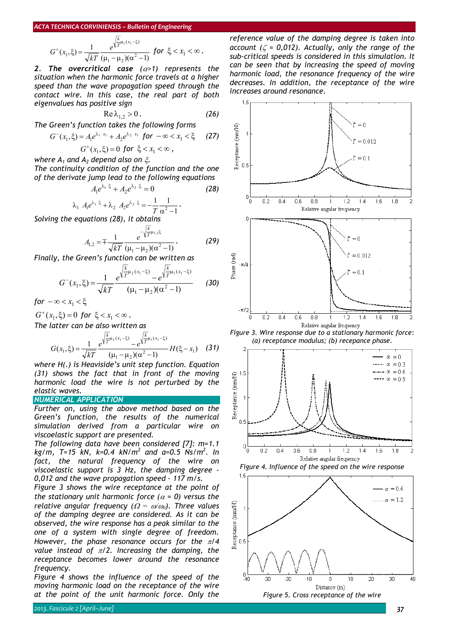#### *ACTA TECHNICA CORVINIENSIS – Bulletin of Engineering k*

$$
G^{+}(x_1,\xi) = \frac{1}{\sqrt{kT}} \frac{e^{\sqrt{\frac{k}{T}\mu_1(x_1-\xi)}}}{(\mu_1-\mu_2)(\alpha^2-1)} \text{ for } \xi < x_1 < \infty.
$$

*2. The overcritical case (*α*>1) represents the situation when the harmonic force travels at a higher speed than the wave propagation speed through the contact wire. In this case, the real part of both eigenvalues has positive sign* 

$$
\text{Re}\,\lambda_{1,2} > 0\,. \tag{26}
$$

*The Green's function takes the following forms* 

$$
G^{-}(x_{1},\xi) = A_{1}e^{\lambda_{1} x_{1}} + A_{2}e^{\lambda_{2} x_{1}} \text{ for } -\infty < x_{1} < \xi \qquad (27)
$$

$$
G^+(x_1,\xi)=0 \text{ for } \xi < x_1 < \infty,
$$
  
and  $A_2$  depend also on  $\xi$ .

*where A<sub>1</sub> d The continuity condition of the function and the one of the derivate jump lead to the following equations* 

$$
A_1 e^{\lambda_1 \xi} + A_2 e^{\lambda_2 \xi} = 0 \tag{28}
$$

$$
\lambda_1 A_1 e^{\lambda_1 \xi} + \lambda_2 A_2 e^{\lambda_2 \xi} = -\frac{1}{T} \frac{1}{\alpha^2 - 1}.
$$

*Solving the equations (28), it obtains* 

$$
A_{1,2} = \pm \frac{1}{\sqrt{kT}} \frac{e^{-\sqrt{\frac{k}{T}}\mu_{1,2}\xi}}{(\mu_1 - \mu_2)(\alpha^2 - 1)}.
$$
 (29)

*Finally, the Green's function can be written as* 

$$
G^{-}(x_{1},\xi) = \frac{1}{\sqrt{kT}} \frac{e^{\sqrt{\frac{k}{T}\mu_{2}(x_{1}-\xi)}} - e^{\sqrt{\frac{k}{T}\mu_{1}(x_{1}-\xi)}}}{(\mu_{1}-\mu_{2})(\alpha^{2}-1)}
$$
(30)

*for*  $-\infty < x_1 < \xi$ 

 $G^+(x_1, \xi) = 0$  for  $\xi < x_1 < \infty$ .

*The latter can be also written as* 

$$
G(x_1,\xi) = \frac{1}{\sqrt{kT}} \frac{e^{\sqrt{\frac{k}{T}\mu_2(x_1-\xi)}} - e^{\sqrt{\frac{k}{T}\mu_1(x_1-\xi)}}}{(\mu_1-\mu_2)(\alpha^2-1)} H(\xi-x_1)
$$
 (31)

*where H(.) is Heaviside's unit step function. Equation (31) shows the fact that in front of the moving harmonic load the wire is not perturbed by the elastic waves.* 

### *NUMERICAL APPLICATION*

*Further on, using the above method based on the Green's function, the results of the numerical simulation derived from a particular wire on viscoelastic support are presented.* 

*The following data have been considered [7]: m=1.1 kg/m, T=15 kN, k=0.4 kN/m<sup>2</sup> and a=0.5 Ns/m<sup>2</sup> . In fact, the natural frequency of the wire on viscoelastic support is 3 Hz, the damping degree - 0,012 and the wave propagation speed – 117 m/s.* 

*Figure 3 shows the wire receptance at the point of the stationary unit harmonic force*  $(a = 0)$  *versus the relative angular frequency (*Ω *=* ω*/*<sup>ω</sup>*0). Three values of the damping degree are considered. As it can be observed, the wire response has a peak similar to the one of a system with single degree of freedom. However, the phase resonance occurs for the* π*/4 value instead of* π*/2. Increasing the damping, the receptance becomes lower around the resonance frequency.* 

*Figure 4 shows the influence of the speed of the moving harmonic load on the receptance of the wire at the point of the unit harmonic force. Only the*  *reference value of the damping degree is taken into account (*ζ *= 0,012). Actually, only the range of the sub-critical speeds is considered in this simulation. It can be seen that by increasing the speed of moving harmonic load, the resonance frequency of the wire decreases. In addition, the receptance of the wire increases around resonance.* 



*Figure 3. Wire response due to a stationary harmonic force: (a) receptance modulus; (b) recepance phase.*